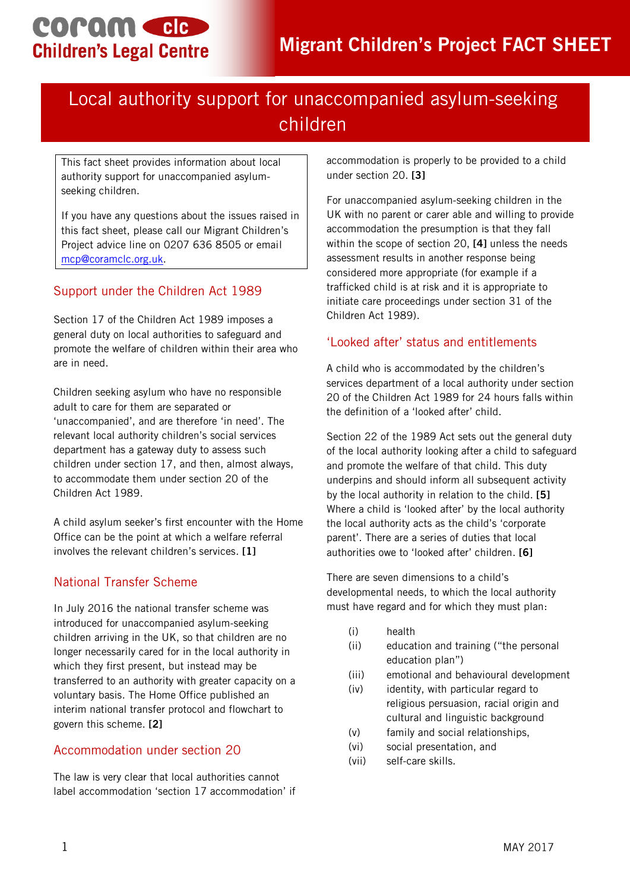# coram cle **Children's Legal Centre**

## Local authority support for unaccompanied asylum-seeking children

This fact sheet provides information about local authority support for unaccompanied asylumseeking children.

If you have any questions about the issues raised in this fact sheet, please call our Migrant Children's Project advice line on 0207 636 8505 or email [mcp@coramclc.org.uk.](mailto:mcp@coramclc.org.uk)

## Support under the Children Act 1989

Section 17 of the Children Act 1989 imposes a general duty on local authorities to safeguard and promote the welfare of children within their area who are in need.

Children seeking asylum who have no responsible adult to care for them are separated or 'unaccompanied', and are therefore 'in need'. The relevant local authority children's social services department has a gateway duty to assess such children under section 17, and then, almost always, to accommodate them under section 20 of the Children Act 1989.

A child asylum seeker's first encounter with the Home Office can be the point at which a welfare referral involves the relevant children's services. **[1]**

### National Transfer Scheme

In July 2016 the national transfer scheme was introduced for unaccompanied asylum-seeking children arriving in the UK, so that children are no longer necessarily cared for in the local authority in which they first present, but instead may be transferred to an authority with greater capacity on a voluntary basis. The Home Office published an interim national transfer protocol and flowchart to govern this scheme. **[2]**

#### Accommodation under section 20

The law is very clear that local authorities cannot label accommodation 'section 17 accommodation' if accommodation is properly to be provided to a child under section 20. **[3]**

For unaccompanied asylum-seeking children in the UK with no parent or carer able and willing to provide accommodation the presumption is that they fall within the scope of section 20, **[4]** unless the needs assessment results in another response being considered more appropriate (for example if a trafficked child is at risk and it is appropriate to initiate care proceedings under section 31 of the Children Act 1989).

### 'Looked after' status and entitlements

A child who is accommodated by the children's services department of a local authority under section 20 of the Children Act 1989 for 24 hours falls within the definition of a 'looked after' child.

Section 22 of the 1989 Act sets out the general duty of the local authority looking after a child to safeguard and promote the welfare of that child. This duty underpins and should inform all subsequent activity by the local authority in relation to the child. **[5]** Where a child is 'looked after' by the local authority the local authority acts as the child's 'corporate parent'. There are a series of duties that local authorities owe to 'looked after' children. **[6]**

There are seven dimensions to a child's developmental needs, to which the local authority must have regard and for which they must plan:

- (i) health
- (ii) education and training ("the personal education plan")
- (iii) emotional and behavioural development
- (iv) identity, with particular regard to religious persuasion, racial origin and cultural and linguistic background
- (v) family and social relationships,
- (vi) social presentation, and
- (vii) self-care skills.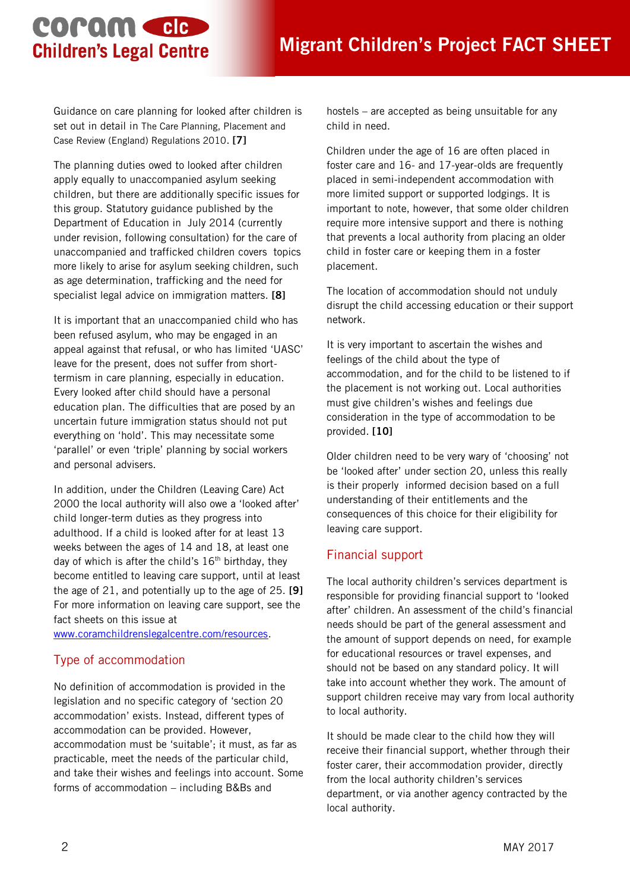## coram cle **Children's Legal Centre**

Guidance on care planning for looked after children is set out in detail in The Care Planning, Placement and Case Review (England) Regulations 2010. **[7]**

The planning duties owed to looked after children apply equally to unaccompanied asylum seeking children, but there are additionally specific issues for this group. Statutory guidance published by the Department of Education in July 2014 (currently under revision, following consultation) for the care of unaccompanied and trafficked children covers topics more likely to arise for asylum seeking children, such as age determination, trafficking and the need for specialist legal advice on immigration matters. **[8]**

It is important that an unaccompanied child who has been refused asylum, who may be engaged in an appeal against that refusal, or who has limited 'UASC' leave for the present, does not suffer from shorttermism in care planning, especially in education. Every looked after child should have a personal education plan. The difficulties that are posed by an uncertain future immigration status should not put everything on 'hold'. This may necessitate some 'parallel' or even 'triple' planning by social workers and personal advisers.

In addition, under the Children (Leaving Care) Act 2000 the local authority will also owe a 'looked after' child longer-term duties as they progress into adulthood. If a child is looked after for at least 13 weeks between the ages of 14 and 18, at least one day of which is after the child's  $16<sup>th</sup>$  birthday, they become entitled to leaving care support, until at least the age of 21, and potentially up to the age of 25. **[9]**  For more information on leaving care support, see the fact sheets on this issue at

[www.coramchildrenslegalcentre.com/resources.](http://www.coramchildrenslegalcentre.com/resources)

### Type of accommodation

No definition of accommodation is provided in the legislation and no specific category of 'section 20 accommodation' exists. Instead, different types of accommodation can be provided. However, accommodation must be 'suitable'; it must, as far as practicable, meet the needs of the particular child, and take their wishes and feelings into account. Some forms of accommodation – including B&Bs and

hostels – are accepted as being unsuitable for any child in need.

Children under the age of 16 are often placed in foster care and 16- and 17-year-olds are frequently placed in semi-independent accommodation with more limited support or supported lodgings. It is important to note, however, that some older children require more intensive support and there is nothing that prevents a local authority from placing an older child in foster care or keeping them in a foster placement.

The location of accommodation should not unduly disrupt the child accessing education or their support network.

It is very important to ascertain the wishes and feelings of the child about the type of accommodation, and for the child to be listened to if the placement is not working out. Local authorities must give children's wishes and feelings due consideration in the type of accommodation to be provided. **[10]** 

Older children need to be very wary of 'choosing' not be 'looked after' under section 20, unless this really is their properly informed decision based on a full understanding of their entitlements and the consequences of this choice for their eligibility for leaving care support.

#### Financial support

The local authority children's services department is responsible for providing financial support to 'looked after' children. An assessment of the child's financial needs should be part of the general assessment and the amount of support depends on need, for example for educational resources or travel expenses, and should not be based on any standard policy. It will take into account whether they work. The amount of support children receive may vary from local authority to local authority.

It should be made clear to the child how they will receive their financial support, whether through their foster carer, their accommodation provider, directly from the local authority children's services department, or via another agency contracted by the local authority.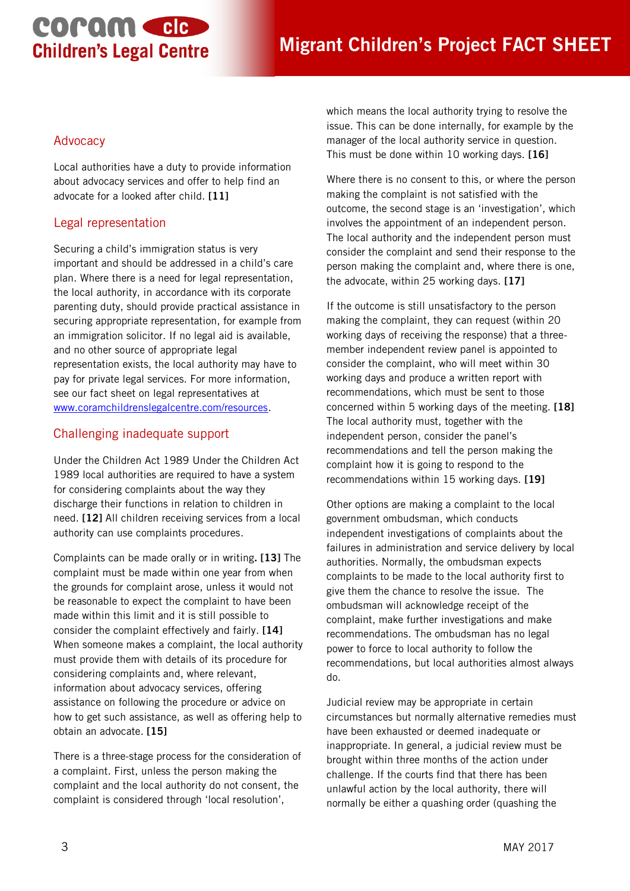# **COPOM CIC Children's Legal Centre**

#### Advocacy

Local authorities have a duty to provide information about advocacy services and offer to help find an advocate for a looked after child. **[11]**

### Legal representation

Securing a child's immigration status is very important and should be addressed in a child's care plan. Where there is a need for legal representation, the local authority, in accordance with its corporate parenting duty, should provide practical assistance in securing appropriate representation, for example from an immigration solicitor. If no legal aid is available, and no other source of appropriate legal representation exists, the local authority may have to pay for private legal services. For more information, see our fact sheet on legal representatives at [www.coramchildrenslegalcentre.com/resources.](http://www.coramchildrenslegalcentre.com/resources)

### Challenging inadequate support

Under the Children Act 1989 Under the Children Act 1989 local authorities are required to have a system for considering complaints about the way they discharge their functions in relation to children in need. **[12]** All children receiving services from a local authority can use complaints procedures.

Complaints can be made orally or in writing**. [13]** The complaint must be made within one year from when the grounds for complaint arose, unless it would not be reasonable to expect the complaint to have been made within this limit and it is still possible to consider the complaint effectively and fairly. **[14]** When someone makes a complaint, the local authority must provide them with details of its procedure for considering complaints and, where relevant, information about advocacy services, offering assistance on following the procedure or advice on how to get such assistance, as well as offering help to obtain an advocate. **[15]**

There is a three-stage process for the consideration of a complaint. First, unless the person making the complaint and the local authority do not consent, the complaint is considered through 'local resolution',

which means the local authority trying to resolve the issue. This can be done internally, for example by the manager of the local authority service in question. This must be done within 10 working days. **[16]**

Where there is no consent to this, or where the person making the complaint is not satisfied with the outcome, the second stage is an 'investigation', which involves the appointment of an independent person. The local authority and the independent person must consider the complaint and send their response to the person making the complaint and, where there is one, the advocate, within 25 working days. **[17]**

If the outcome is still unsatisfactory to the person making the complaint, they can request (within 20 working days of receiving the response) that a threemember independent review panel is appointed to consider the complaint, who will meet within 30 working days and produce a written report with recommendations, which must be sent to those concerned within 5 working days of the meeting. **[18]** The local authority must, together with the independent person, consider the panel's recommendations and tell the person making the complaint how it is going to respond to the recommendations within 15 working days. **[19]**

Other options are making a complaint to the local government ombudsman, which conducts independent investigations of complaints about the failures in administration and service delivery by local authorities. Normally, the ombudsman expects complaints to be made to the local authority first to give them the chance to resolve the issue. The ombudsman will acknowledge receipt of the complaint, make further investigations and make recommendations. The ombudsman has no legal power to force to local authority to follow the recommendations, but local authorities almost always do.

Judicial review may be appropriate in certain circumstances but normally alternative remedies must have been exhausted or deemed inadequate or inappropriate. In general, a judicial review must be brought within three months of the action under challenge. If the courts find that there has been unlawful action by the local authority, there will normally be either a quashing order (quashing the